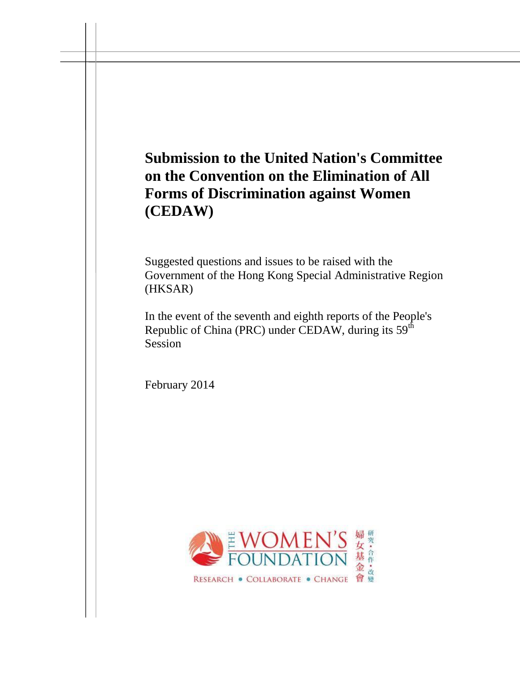# **Submission to the United Nation's Committee on the Convention on the Elimination of All Forms of Discrimination against Women (CEDAW)**

Suggested questions and issues to be raised with the Government of the Hong Kong Special Administrative Region (HKSAR)

In the event of the seventh and eighth reports of the People's Republic of China (PRC) under CEDAW, during its 59<sup>th</sup> Session

February 2014

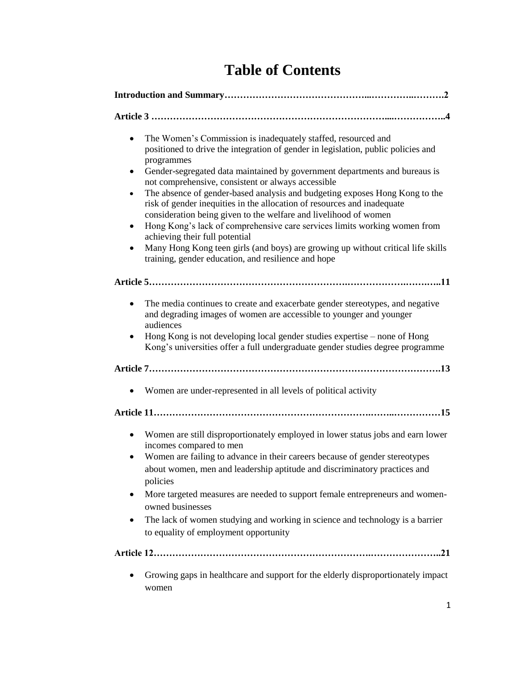|  |  | <b>Table of Contents</b> |
|--|--|--------------------------|
|--|--|--------------------------|

| The Women's Commission is inadequately staffed, resourced and<br>$\bullet$<br>positioned to drive the integration of gender in legislation, public policies and<br>programmes<br>Gender-segregated data maintained by government departments and bureaus is<br>٠<br>not comprehensive, consistent or always accessible<br>The absence of gender-based analysis and budgeting exposes Hong Kong to the<br>٠<br>risk of gender inequities in the allocation of resources and inadequate<br>consideration being given to the welfare and livelihood of women<br>Hong Kong's lack of comprehensive care services limits working women from<br>٠<br>achieving their full potential<br>Many Hong Kong teen girls (and boys) are growing up without critical life skills<br>٠<br>training, gender education, and resilience and hope |  |  |
|-------------------------------------------------------------------------------------------------------------------------------------------------------------------------------------------------------------------------------------------------------------------------------------------------------------------------------------------------------------------------------------------------------------------------------------------------------------------------------------------------------------------------------------------------------------------------------------------------------------------------------------------------------------------------------------------------------------------------------------------------------------------------------------------------------------------------------|--|--|
|                                                                                                                                                                                                                                                                                                                                                                                                                                                                                                                                                                                                                                                                                                                                                                                                                               |  |  |
| The media continues to create and exacerbate gender stereotypes, and negative<br>٠<br>and degrading images of women are accessible to younger and younger<br>audiences<br>Hong Kong is not developing local gender studies expertise – none of Hong<br>٠<br>Kong's universities offer a full undergraduate gender studies degree programme                                                                                                                                                                                                                                                                                                                                                                                                                                                                                    |  |  |
|                                                                                                                                                                                                                                                                                                                                                                                                                                                                                                                                                                                                                                                                                                                                                                                                                               |  |  |
| Women are under-represented in all levels of political activity<br>٠                                                                                                                                                                                                                                                                                                                                                                                                                                                                                                                                                                                                                                                                                                                                                          |  |  |
|                                                                                                                                                                                                                                                                                                                                                                                                                                                                                                                                                                                                                                                                                                                                                                                                                               |  |  |
| Women are still disproportionately employed in lower status jobs and earn lower<br>$\bullet$<br>incomes compared to men<br>Women are failing to advance in their careers because of gender stereotypes<br>about women, men and leadership aptitude and discriminatory practices and<br>policies<br>More targeted measures are needed to support female entrepreneurs and women-<br>٠<br>owned businesses<br>The lack of women studying and working in science and technology is a barrier<br>to equality of employment opportunity                                                                                                                                                                                                                                                                                            |  |  |
|                                                                                                                                                                                                                                                                                                                                                                                                                                                                                                                                                                                                                                                                                                                                                                                                                               |  |  |
| Growing gaps in healthcare and support for the elderly disproportionately impact<br>women                                                                                                                                                                                                                                                                                                                                                                                                                                                                                                                                                                                                                                                                                                                                     |  |  |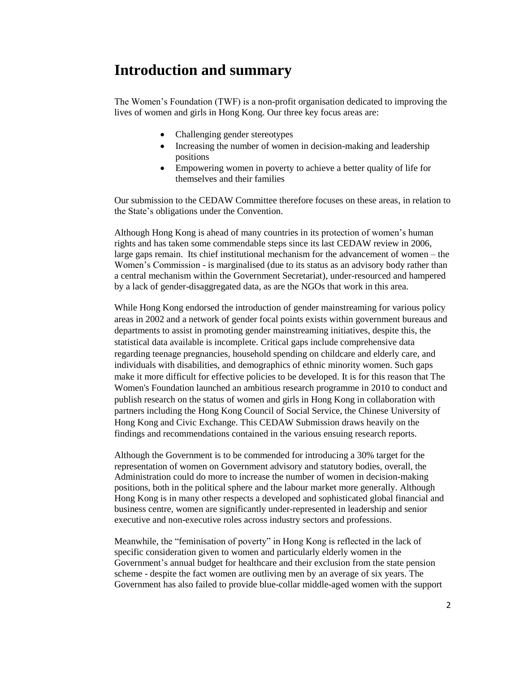# **Introduction and summary**

The Women's Foundation (TWF) is a non-profit organisation dedicated to improving the lives of women and girls in Hong Kong. Our three key focus areas are:

- Challenging gender stereotypes
- Increasing the number of women in decision-making and leadership positions
- Empowering women in poverty to achieve a better quality of life for themselves and their families

Our submission to the CEDAW Committee therefore focuses on these areas, in relation to the State's obligations under the Convention.

Although Hong Kong is ahead of many countries in its protection of women's human rights and has taken some commendable steps since its last CEDAW review in 2006, large gaps remain. Its chief institutional mechanism for the advancement of women – the Women's Commission - is marginalised (due to its status as an advisory body rather than a central mechanism within the Government Secretariat), under-resourced and hampered by a lack of gender-disaggregated data, as are the NGOs that work in this area.

While Hong Kong endorsed the introduction of gender mainstreaming for various policy areas in 2002 and a network of gender focal points exists within government bureaus and departments to assist in promoting gender mainstreaming initiatives, despite this, the statistical data available is incomplete. Critical gaps include comprehensive data regarding teenage pregnancies, household spending on childcare and elderly care, and individuals with disabilities, and demographics of ethnic minority women. Such gaps make it more difficult for effective policies to be developed. It is for this reason that The Women's Foundation launched an ambitious research programme in 2010 to conduct and publish research on the status of women and girls in Hong Kong in collaboration with partners including the Hong Kong Council of Social Service, the Chinese University of Hong Kong and Civic Exchange. This CEDAW Submission draws heavily on the findings and recommendations contained in the various ensuing research reports.

Although the Government is to be commended for introducing a 30% target for the representation of women on Government advisory and statutory bodies, overall, the Administration could do more to increase the number of women in decision-making positions, both in the political sphere and the labour market more generally. Although Hong Kong is in many other respects a developed and sophisticated global financial and business centre, women are significantly under-represented in leadership and senior executive and non-executive roles across industry sectors and professions.

Meanwhile, the "feminisation of poverty" in Hong Kong is reflected in the lack of specific consideration given to women and particularly elderly women in the Government's annual budget for healthcare and their exclusion from the state pension scheme - despite the fact women are outliving men by an average of six years. The Government has also failed to provide blue-collar middle-aged women with the support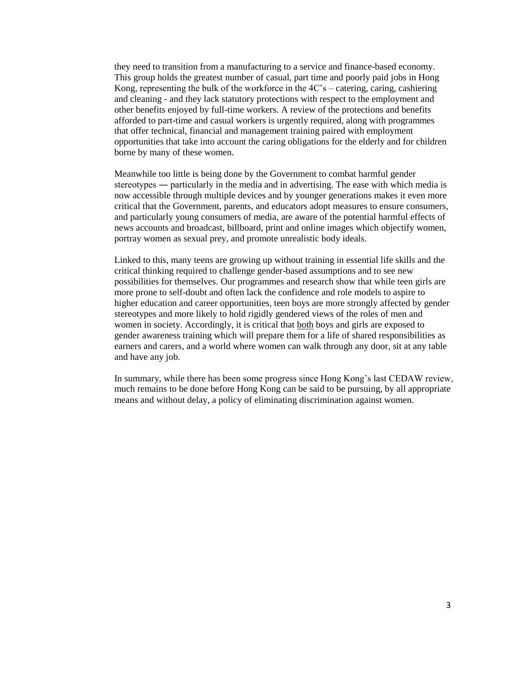they need to transition from a manufacturing to a service and finance-based economy. This group holds the greatest number of casual, part time and poorly paid jobs in Hong Kong, representing the bulk of the workforce in the  $4C$ 's – catering, caring, cashiering and cleaning - and they lack statutory protections with respect to the employment and other benefits enjoyed by full-time workers. A review of the protections and benefits afforded to part-time and casual workers is urgently required, along with programmes that offer technical, financial and management training paired with employment opportunities that take into account the caring obligations for the elderly and for children borne by many of these women.

Meanwhile too little is being done by the Government to combat harmful gender stereotypes ― particularly in the media and in advertising. The ease with which media is now accessible through multiple devices and by younger generations makes it even more critical that the Government, parents, and educators adopt measures to ensure consumers, and particularly young consumers of media, are aware of the potential harmful effects of news accounts and broadcast, billboard, print and online images which objectify women, portray women as sexual prey, and promote unrealistic body ideals.

Linked to this, many teens are growing up without training in essential life skills and the critical thinking required to challenge gender-based assumptions and to see new possibilities for themselves. Our programmes and research show that while teen girls are more prone to self-doubt and often lack the confidence and role models to aspire to higher education and career opportunities, teen boys are more strongly affected by gender stereotypes and more likely to hold rigidly gendered views of the roles of men and women in society. Accordingly, it is critical that both boys and girls are exposed to gender awareness training which will prepare them for a life of shared responsibilities as earners and carers, and a world where women can walk through any door, sit at any table and have any job.

In summary, while there has been some progress since Hong Kong's last CEDAW review, much remains to be done before Hong Kong can be said to be pursuing, by all appropriate means and without delay, a policy of eliminating discrimination against women.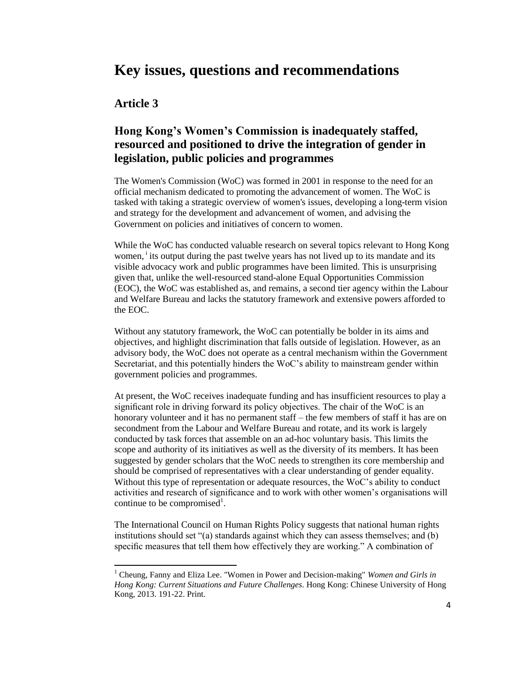# **Key issues, questions and recommendations**

### **Article 3**

 $\overline{\phantom{a}}$ 

## **Hong Kong's Women's Commission is inadequately staffed, resourced and positioned to drive the integration of gender in legislation, public policies and programmes**

The Women's Commission (WoC) was formed in 2001 in response to the need for an official mechanism dedicated to promoting the advancement of women. The WoC is tasked with taking a strategic overview of women's issues, developing a long-term vision and strategy for the development and advancement of women, and advising the Government on policies and initiatives of concern to women.

While the WoC has conducted valuable research on several topics relevant to Hong Kong women,<sup>i</sup> its output during the past twelve years has not lived up to its mandate and its visible advocacy work and public programmes have been limited. This is unsurprising given that, unlike the well-resourced stand-alone Equal Opportunities Commission (EOC), the WoC was established as, and remains, a second tier agency within the Labour and Welfare Bureau and lacks the statutory framework and extensive powers afforded to the EOC.

Without any statutory framework, the WoC can potentially be bolder in its aims and objectives, and highlight discrimination that falls outside of legislation. However, as an advisory body, the WoC does not operate as a central mechanism within the Government Secretariat, and this potentially hinders the WoC's ability to mainstream gender within government policies and programmes.

At present, the WoC receives inadequate funding and has insufficient resources to play a significant role in driving forward its policy objectives. The chair of the WoC is an honorary volunteer and it has no permanent staff – the few members of staff it has are on secondment from the Labour and Welfare Bureau and rotate, and its work is largely conducted by task forces that assemble on an ad-hoc voluntary basis. This limits the scope and authority of its initiatives as well as the diversity of its members. It has been suggested by gender scholars that the WoC needs to strengthen its core membership and should be comprised of representatives with a clear understanding of gender equality. Without this type of representation or adequate resources, the WoC's ability to conduct activities and research of significance and to work with other women's organisations will continue to be compromised<sup>1</sup>.

The International Council on Human Rights Policy suggests that national human rights institutions should set "(a) standards against which they can assess themselves; and (b) specific measures that tell them how effectively they are working." A combination of

<sup>1</sup> Cheung, Fanny and Eliza Lee. "Women in Power and Decision-making" *Women and Girls in Hong Kong: Current Situations and Future Challenges*. Hong Kong: Chinese University of Hong Kong, 2013. 191-22. Print.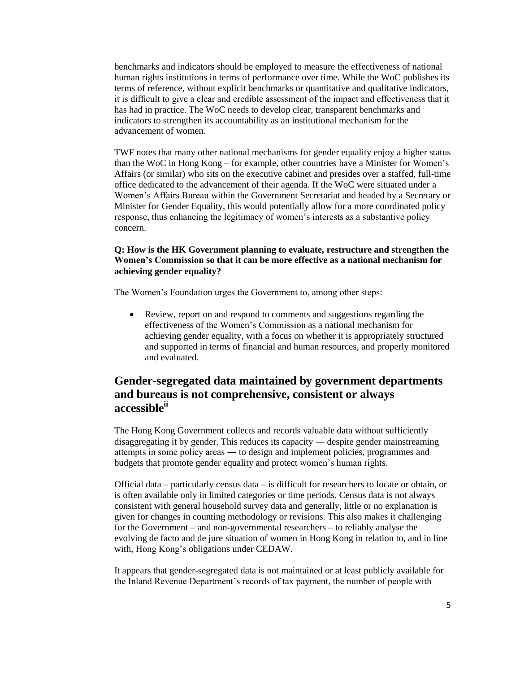benchmarks and indicators should be employed to measure the effectiveness of national human rights institutions in terms of performance over time. While the WoC publishes its terms of reference, without explicit benchmarks or quantitative and qualitative indicators, it is difficult to give a clear and credible assessment of the impact and effectiveness that it has had in practice. The WoC needs to develop clear, transparent benchmarks and indicators to strengthen its accountability as an institutional mechanism for the advancement of women.

TWF notes that many other national mechanisms for gender equality enjoy a higher status than the WoC in Hong Kong – for example, other countries have a Minister for Women's Affairs (or similar) who sits on the executive cabinet and presides over a staffed, full-time office dedicated to the advancement of their agenda. If the WoC were situated under a Women's Affairs Bureau within the Government Secretariat and headed by a Secretary or Minister for Gender Equality, this would potentially allow for a more coordinated policy response, thus enhancing the legitimacy of women's interests as a substantive policy concern.

#### **Q: How is the HK Government planning to evaluate, restructure and strengthen the Women's Commission so that it can be more effective as a national mechanism for achieving gender equality?**

The Women's Foundation urges the Government to, among other steps:

 Review, report on and respond to comments and suggestions regarding the effectiveness of the Women's Commission as a national mechanism for achieving gender equality, with a focus on whether it is appropriately structured and supported in terms of financial and human resources, and properly monitored and evaluated.

# **Gender-segregated data maintained by government departments and bureaus is not comprehensive, consistent or always accessibleii**

The Hong Kong Government collects and records valuable data without sufficiently disaggregating it by gender. This reduces its capacity ― despite gender mainstreaming attempts in some policy areas ― to design and implement policies, programmes and budgets that promote gender equality and protect women's human rights.

Official data – particularly census data – is difficult for researchers to locate or obtain, or is often available only in limited categories or time periods. Census data is not always consistent with general household survey data and generally, little or no explanation is given for changes in counting methodology or revisions. This also makes it challenging for the Government – and non-governmental researchers – to reliably analyse the evolving de facto and de jure situation of women in Hong Kong in relation to, and in line with, Hong Kong's obligations under CEDAW.

It appears that gender-segregated data is not maintained or at least publicly available for the Inland Revenue Department's records of tax payment, the number of people with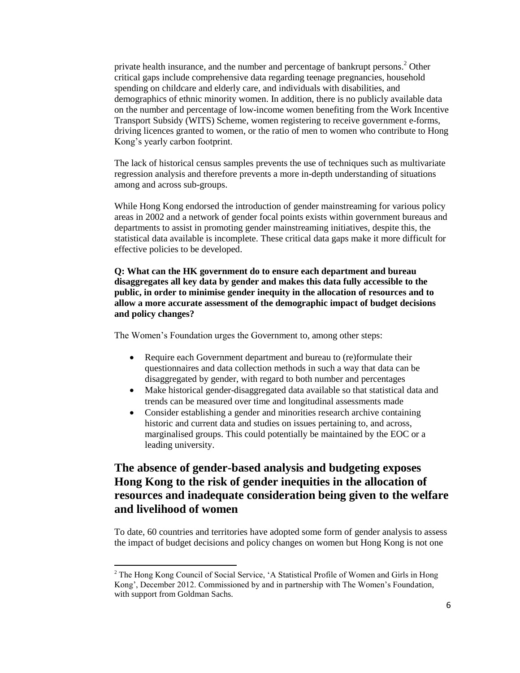private health insurance, and the number and percentage of bankrupt persons.<sup>2</sup> Other critical gaps include comprehensive data regarding teenage pregnancies, household spending on childcare and elderly care, and individuals with disabilities, and demographics of ethnic minority women. In addition, there is no publicly available data on the number and percentage of low-income women benefiting from the Work Incentive Transport Subsidy (WITS) Scheme, women registering to receive government e-forms, driving licences granted to women, or the ratio of men to women who contribute to Hong Kong's yearly carbon footprint.

The lack of historical census samples prevents the use of techniques such as multivariate regression analysis and therefore prevents a more in-depth understanding of situations among and across sub-groups.

While Hong Kong endorsed the introduction of gender mainstreaming for various policy areas in 2002 and a network of gender focal points exists within government bureaus and departments to assist in promoting gender mainstreaming initiatives, despite this, the statistical data available is incomplete. These critical data gaps make it more difficult for effective policies to be developed.

**Q: What can the HK government do to ensure each department and bureau disaggregates all key data by gender and makes this data fully accessible to the public, in order to minimise gender inequity in the allocation of resources and to allow a more accurate assessment of the demographic impact of budget decisions and policy changes?**

The Women's Foundation urges the Government to, among other steps:

- Require each Government department and bureau to (re)formulate their questionnaires and data collection methods in such a way that data can be disaggregated by gender, with regard to both number and percentages
- Make historical gender-disaggregated data available so that statistical data and trends can be measured over time and longitudinal assessments made
- Consider establishing a gender and minorities research archive containing historic and current data and studies on issues pertaining to, and across, marginalised groups. This could potentially be maintained by the EOC or a leading university.

# **The absence of gender-based analysis and budgeting exposes Hong Kong to the risk of gender inequities in the allocation of resources and inadequate consideration being given to the welfare and livelihood of women**

To date, 60 countries and territories have adopted some form of gender analysis to assess the impact of budget decisions and policy changes on women but Hong Kong is not one

 $\overline{\phantom{a}}$ 

<sup>&</sup>lt;sup>2</sup> The Hong Kong Council of Social Service, 'A Statistical Profile of Women and Girls in Hong Kong', December 2012. Commissioned by and in partnership with The Women's Foundation, with support from Goldman Sachs.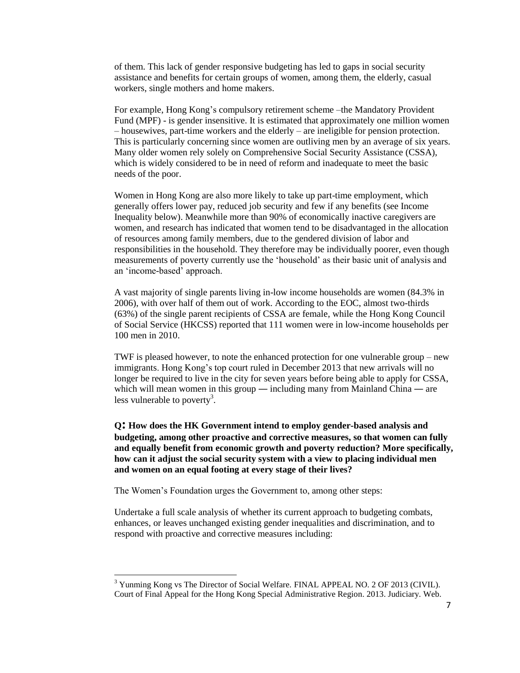of them. This lack of gender responsive budgeting has led to gaps in social security assistance and benefits for certain groups of women, among them, the elderly, casual workers, single mothers and home makers.

For example, Hong Kong's compulsory retirement scheme –the Mandatory Provident Fund (MPF) - is gender insensitive. It is estimated that approximately one million women – housewives, part-time workers and the elderly – are ineligible for pension protection. This is particularly concerning since women are outliving men by an average of six years. Many older women rely solely on Comprehensive Social Security Assistance (CSSA), which is widely considered to be in need of reform and inadequate to meet the basic needs of the poor.

Women in Hong Kong are also more likely to take up part-time employment, which generally offers lower pay, reduced job security and few if any benefits (see Income Inequality below). Meanwhile more than 90% of economically inactive caregivers are women, and research has indicated that women tend to be disadvantaged in the allocation of resources among family members, due to the gendered division of labor and responsibilities in the household. They therefore may be individually poorer, even though measurements of poverty currently use the 'household' as their basic unit of analysis and an 'income-based' approach.

A vast majority of single parents living in-low income households are women (84.3% in 2006), with over half of them out of work. According to the EOC, almost two-thirds (63%) of the single parent recipients of CSSA are female, while the Hong Kong Council of Social Service (HKCSS) reported that 111 women were in low-income households per 100 men in 2010.

TWF is pleased however, to note the enhanced protection for one vulnerable group – new immigrants. Hong Kong's top court ruled in December 2013 that new arrivals will no longer be required to live in the city for seven years before being able to apply for CSSA, which will mean women in this group — including many from Mainland China — are less vulnerable to poverty<sup>3</sup>.

**<sup>Q</sup>: How does the HK Government intend to employ gender-based analysis and budgeting, among other proactive and corrective measures, so that women can fully and equally benefit from economic growth and poverty reduction? More specifically, how can it adjust the social security system with a view to placing individual men and women on an equal footing at every stage of their lives?**

The Women's Foundation urges the Government to, among other steps:

 $\overline{a}$ 

Undertake a full scale analysis of whether its current approach to budgeting combats, enhances, or leaves unchanged existing gender inequalities and discrimination, and to respond with proactive and corrective measures including:

<sup>&</sup>lt;sup>3</sup> Yunming Kong vs The Director of Social Welfare. FINAL APPEAL NO. 2 OF 2013 (CIVIL). Court of Final Appeal for the Hong Kong Special Administrative Region. 2013. Judiciary. Web.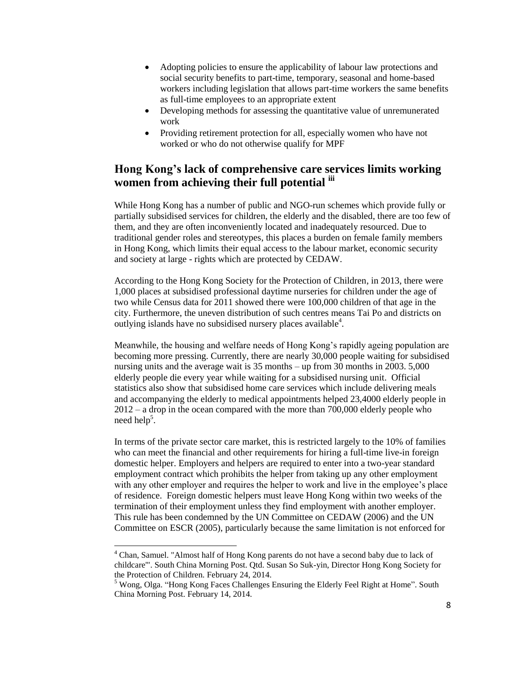- Adopting policies to ensure the applicability of labour law protections and social security benefits to part-time, temporary, seasonal and home-based workers including legislation that allows part-time workers the same benefits as full-time employees to an appropriate extent
- Developing methods for assessing the quantitative value of unremunerated work
- Providing retirement protection for all, especially women who have not worked or who do not otherwise qualify for MPF

# **Hong Kong's lack of comprehensive care services limits working women from achieving their full potential iii**

While Hong Kong has a number of public and NGO-run schemes which provide fully or partially subsidised services for children, the elderly and the disabled, there are too few of them, and they are often inconveniently located and inadequately resourced. Due to traditional gender roles and stereotypes, this places a burden on female family members in Hong Kong, which limits their equal access to the labour market, economic security and society at large - rights which are protected by CEDAW.

According to the Hong Kong Society for the Protection of Children, in 2013, there were 1,000 places at subsidised professional daytime nurseries for children under the age of two while Census data for 2011 showed there were 100,000 children of that age in the city. Furthermore, the uneven distribution of such centres means Tai Po and districts on outlying islands have no subsidised nursery places available<sup>4</sup>.

Meanwhile, the housing and welfare needs of Hong Kong's rapidly ageing population are becoming more pressing. Currently, there are nearly 30,000 people waiting for subsidised nursing units and the average wait is 35 months – up from 30 months in 2003. 5,000 elderly people die every year while waiting for a subsidised nursing unit. Official statistics also show that subsidised home care services which include delivering meals and accompanying the elderly to medical appointments helped 23,4000 elderly people in 2012 – a drop in the ocean compared with the more than 700,000 elderly people who need help<sup>5</sup>.

In terms of the private sector care market, this is restricted largely to the 10% of families who can meet the financial and other requirements for hiring a full-time live-in foreign domestic helper. Employers and helpers are required to enter into a two-year standard employment contract which prohibits the helper from taking up any other employment with any other employer and requires the helper to work and live in the employee's place of residence. Foreign domestic helpers must leave Hong Kong within two weeks of the termination of their employment unless they find employment with another employer. This rule has been condemned by the UN Committee on CEDAW (2006) and the UN Committee on ESCR (2005), particularly because the same limitation is not enforced for

l

<sup>4</sup> Chan, Samuel. "Almost half of Hong Kong parents do not have a second baby due to lack of childcare'". South China Morning Post. Qtd. Susan So Suk-yin, Director Hong Kong Society for the Protection of Children. February 24, 2014.

<sup>&</sup>lt;sup>5</sup> Wong, Olga. "Hong Kong Faces Challenges Ensuring the Elderly Feel Right at Home". South China Morning Post. February 14, 2014.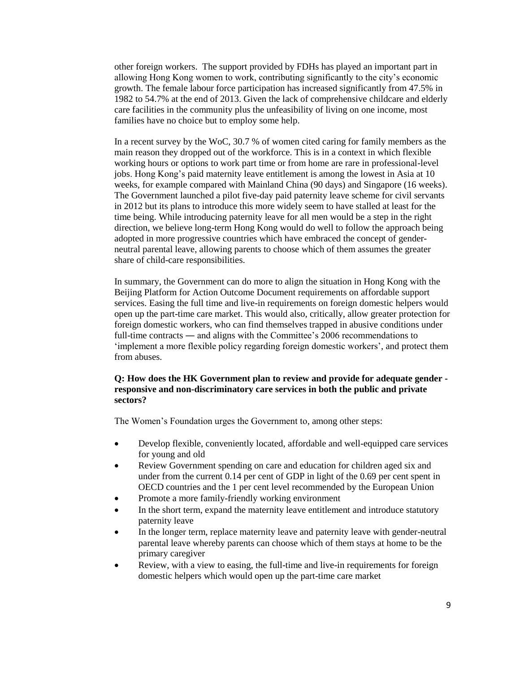other foreign workers. The support provided by FDHs has played an important part in allowing Hong Kong women to work, contributing significantly to the city's economic growth. The female labour force participation has increased significantly from 47.5% in 1982 to 54.7% at the end of 2013. Given the lack of comprehensive childcare and elderly care facilities in the community plus the unfeasibility of living on one income, most families have no choice but to employ some help.

In a recent survey by the WoC, 30.7 % of women cited caring for family members as the main reason they dropped out of the workforce. This is in a context in which flexible working hours or options to work part time or from home are rare in professional-level jobs. Hong Kong's paid maternity leave entitlement is among the lowest in Asia at 10 weeks, for example compared with Mainland China (90 days) and Singapore (16 weeks). The Government launched a pilot five-day paid paternity leave scheme for civil servants in 2012 but its plans to introduce this more widely seem to have stalled at least for the time being. While introducing paternity leave for all men would be a step in the right direction, we believe long-term Hong Kong would do well to follow the approach being adopted in more progressive countries which have embraced the concept of genderneutral parental leave, allowing parents to choose which of them assumes the greater share of child-care responsibilities.

In summary, the Government can do more to align the situation in Hong Kong with the Beijing Platform for Action Outcome Document requirements on affordable support services. Easing the full time and live-in requirements on foreign domestic helpers would open up the part-time care market. This would also, critically, allow greater protection for foreign domestic workers, who can find themselves trapped in abusive conditions under full-time contracts — and aligns with the Committee's 2006 recommendations to 'implement a more flexible policy regarding foreign domestic workers', and protect them from abuses.

#### **Q: How does the HK Government plan to review and provide for adequate gender responsive and non-discriminatory care services in both the public and private sectors?**

- Develop flexible, conveniently located, affordable and well-equipped care services for young and old
- Review Government spending on care and education for children aged six and under from the current 0.14 per cent of GDP in light of the 0.69 per cent spent in OECD countries and the 1 per cent level recommended by the European Union
- Promote a more family-friendly working environment
- In the short term, expand the maternity leave entitlement and introduce statutory paternity leave
- In the longer term, replace maternity leave and paternity leave with gender-neutral parental leave whereby parents can choose which of them stays at home to be the primary caregiver
- Review, with a view to easing, the full-time and live-in requirements for foreign domestic helpers which would open up the part-time care market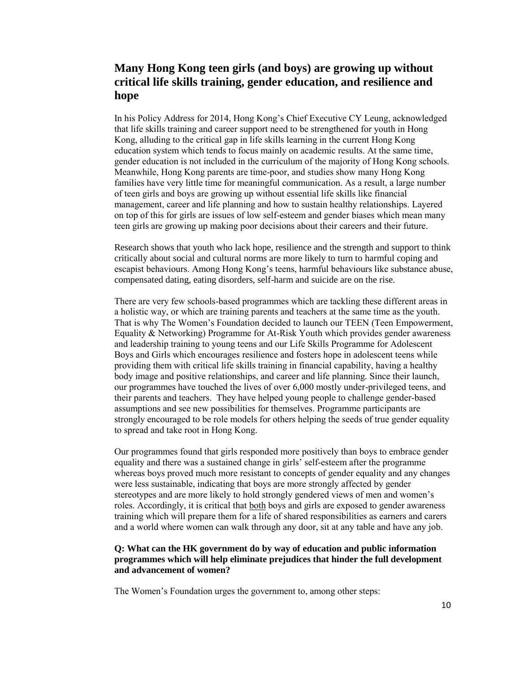## **Many Hong Kong teen girls (and boys) are growing up without critical life skills training, gender education, and resilience and hope**

In his Policy Address for 2014, Hong Kong's Chief Executive CY Leung, acknowledged that life skills training and career support need to be strengthened for youth in Hong Kong, alluding to the critical gap in life skills learning in the current Hong Kong education system which tends to focus mainly on academic results. At the same time, gender education is not included in the curriculum of the majority of Hong Kong schools. Meanwhile, Hong Kong parents are time-poor, and studies show many Hong Kong families have very little time for meaningful communication. As a result, a large number of teen girls and boys are growing up without essential life skills like financial management, career and life planning and how to sustain healthy relationships. Layered on top of this for girls are issues of low self-esteem and gender biases which mean many teen girls are growing up making poor decisions about their careers and their future.

Research shows that youth who lack hope, resilience and the strength and support to think critically about social and cultural norms are more likely to turn to harmful coping and escapist behaviours. Among Hong Kong's teens, harmful behaviours like substance abuse, compensated dating, eating disorders, self-harm and suicide are on the rise.

There are very few schools-based programmes which are tackling these different areas in a holistic way, or which are training parents and teachers at the same time as the youth. That is why The Women's Foundation decided to launch our TEEN (Teen Empowerment, Equality & Networking) Programme for At-Risk Youth which provides gender awareness and leadership training to young teens and our Life Skills Programme for Adolescent Boys and Girls which encourages resilience and fosters hope in adolescent teens while providing them with critical life skills training in financial capability, having a healthy body image and positive relationships, and career and life planning. Since their launch, our programmes have touched the lives of over 6,000 mostly under-privileged teens, and their parents and teachers. They have helped young people to challenge gender-based assumptions and see new possibilities for themselves. Programme participants are strongly encouraged to be role models for others helping the seeds of true gender equality to spread and take root in Hong Kong.

Our programmes found that girls responded more positively than boys to embrace gender equality and there was a sustained change in girls' self-esteem after the programme whereas boys proved much more resistant to concepts of gender equality and any changes were less sustainable, indicating that boys are more strongly affected by gender stereotypes and are more likely to hold strongly gendered views of men and women's roles. Accordingly, it is critical that both boys and girls are exposed to gender awareness training which will prepare them for a life of shared responsibilities as earners and carers and a world where women can walk through any door, sit at any table and have any job.

#### **Q: What can the HK government do by way of education and public information programmes which will help eliminate prejudices that hinder the full development and advancement of women?**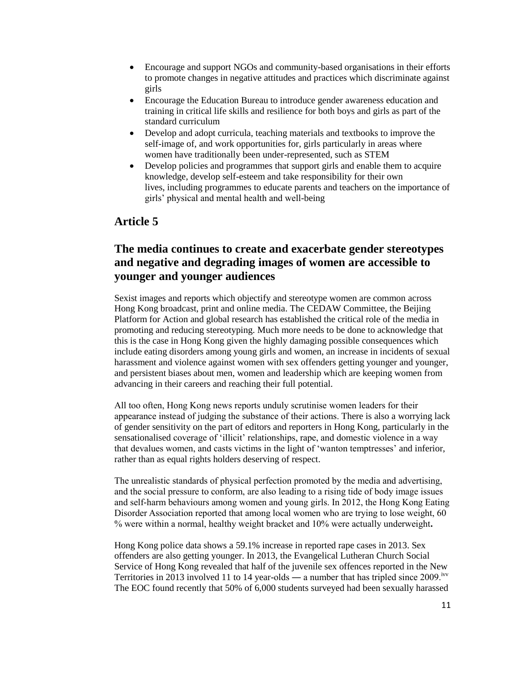- Encourage and support NGOs and community-based organisations in their efforts to promote changes in negative attitudes and practices which discriminate against girls
- Encourage the Education Bureau to introduce gender awareness education and training in critical life skills and resilience for both boys and girls as part of the standard curriculum
- Develop and adopt curricula, teaching materials and textbooks to improve the self-image of, and work opportunities for, girls particularly in areas where women have traditionally been under-represented, such as STEM
- Develop policies and programmes that support girls and enable them to acquire knowledge, develop self-esteem and take responsibility for their own lives, including programmes to educate parents and teachers on the importance of girls' physical and mental health and well-being

### **Article 5**

# **The media continues to create and exacerbate gender stereotypes and negative and degrading images of women are accessible to younger and younger audiences**

Sexist images and reports which objectify and stereotype women are common across Hong Kong broadcast, print and online media. The CEDAW Committee, the Beijing Platform for Action and global research has established the critical role of the media in promoting and reducing stereotyping. Much more needs to be done to acknowledge that this is the case in Hong Kong given the highly damaging possible consequences which include eating disorders among young girls and women, an increase in incidents of sexual harassment and violence against women with sex offenders getting younger and younger, and persistent biases about men, women and leadership which are keeping women from advancing in their careers and reaching their full potential.

All too often, Hong Kong news reports unduly scrutinise women leaders for their appearance instead of judging the substance of their actions. There is also a worrying lack of gender sensitivity on the part of editors and reporters in Hong Kong, particularly in the sensationalised coverage of 'illicit' relationships, rape, and domestic violence in a way that devalues women, and casts victims in the light of 'wanton temptresses' and inferior, rather than as equal rights holders deserving of respect.

The unrealistic standards of physical perfection promoted by the media and advertising, and the social pressure to conform, are also leading to a rising tide of body image issues and self-harm behaviours among women and young girls. In 2012, the Hong Kong Eating Disorder Association reported that among local women who are trying to lose weight, 60 % were within a normal, healthy weight bracket and 10% were actually underweight**.** 

Hong Kong police data shows a 59.1% increase in reported rape cases in 2013. Sex offenders are also getting younger. In 2013, the Evangelical Lutheran Church Social Service of Hong Kong revealed that half of the juvenile sex offences reported in the New Territories in 2013 involved 11 to 14 year-olds — a number that has tripled since  $2009$ .<sup>ivv</sup> The EOC found recently that 50% of 6,000 students surveyed had been sexually harassed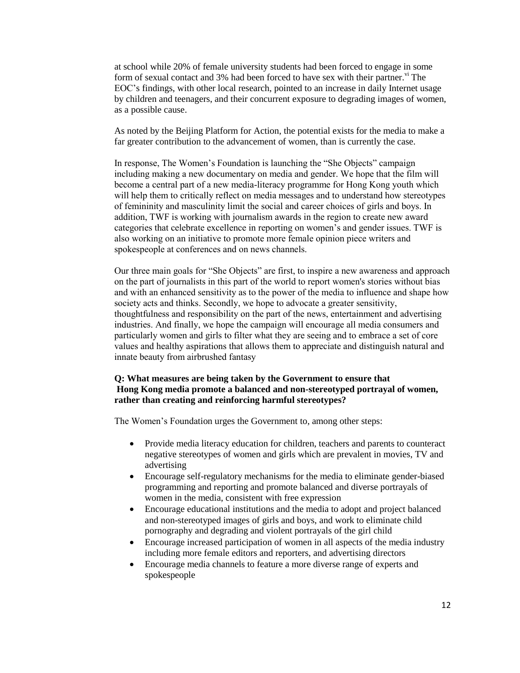at school while 20% of female university students had been forced to engage in some form of sexual contact and  $3\%$  had been forced to have sex with their partner.<sup>vi</sup> The EOC's findings, with other local research, pointed to an increase in daily Internet usage by children and teenagers, and their concurrent exposure to degrading images of women, as a possible cause.

As noted by the Beijing Platform for Action, the potential exists for the media to make a far greater contribution to the advancement of women, than is currently the case.

In response, The Women's Foundation is launching the "She Objects" campaign including making a new documentary on media and gender. We hope that the film will become a central part of a new media-literacy programme for Hong Kong youth which will help them to critically reflect on media messages and to understand how stereotypes of femininity and masculinity limit the social and career choices of girls and boys. In addition, TWF is working with journalism awards in the region to create new award categories that celebrate excellence in reporting on women's and gender issues. TWF is also working on an initiative to promote more female opinion piece writers and spokespeople at conferences and on news channels.

Our three main goals for "She Objects" are first, to inspire a new awareness and approach on the part of journalists in this part of the world to report women's stories without bias and with an enhanced sensitivity as to the power of the media to influence and shape how society acts and thinks. Secondly, we hope to advocate a greater sensitivity, thoughtfulness and responsibility on the part of the news, entertainment and advertising industries. And finally, we hope the campaign will encourage all media consumers and particularly women and girls to filter what they are seeing and to embrace a set of core values and healthy aspirations that allows them to appreciate and distinguish natural and innate beauty from airbrushed fantasy

#### **Q: What measures are being taken by the Government to ensure that Hong Kong media promote a balanced and non-stereotyped portrayal of women, rather than creating and reinforcing harmful stereotypes?**

- Provide media literacy education for children, teachers and parents to counteract negative stereotypes of women and girls which are prevalent in movies, TV and advertising
- Encourage self-regulatory mechanisms for the media to eliminate gender-biased programming and reporting and promote balanced and diverse portrayals of women in the media, consistent with free expression
- Encourage educational institutions and the media to adopt and project balanced and non-stereotyped images of girls and boys, and work to eliminate child pornography and degrading and violent portrayals of the girl child
- Encourage increased participation of women in all aspects of the media industry including more female editors and reporters, and advertising directors
- Encourage media channels to feature a more diverse range of experts and spokespeople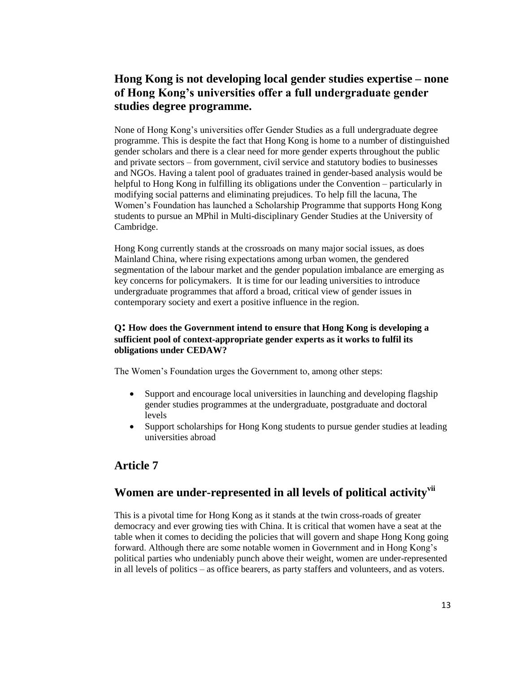# **Hong Kong is not developing local gender studies expertise – none of Hong Kong's universities offer a full undergraduate gender studies degree programme.**

None of Hong Kong's universities offer Gender Studies as a full undergraduate degree programme. This is despite the fact that Hong Kong is home to a number of distinguished gender scholars and there is a clear need for more gender experts throughout the public and private sectors – from government, civil service and statutory bodies to businesses and NGOs. Having a talent pool of graduates trained in gender-based analysis would be helpful to Hong Kong in fulfilling its obligations under the Convention – particularly in modifying social patterns and eliminating prejudices. To help fill the lacuna, The Women's Foundation has launched a Scholarship Programme that supports Hong Kong students to pursue an MPhil in Multi-disciplinary Gender Studies at the University of Cambridge.

Hong Kong currently stands at the crossroads on many major social issues, as does Mainland China, where rising expectations among urban women, the gendered segmentation of the labour market and the gender population imbalance are emerging as key concerns for policymakers. It is time for our leading universities to introduce undergraduate programmes that afford a broad, critical view of gender issues in contemporary society and exert a positive influence in the region.

### **<sup>Q</sup>: How does the Government intend to ensure that Hong Kong is developing <sup>a</sup> sufficient pool of context-appropriate gender experts as it works to fulfil its obligations under CEDAW?**

The Women's Foundation urges the Government to, among other steps:

- Support and encourage local universities in launching and developing flagship gender studies programmes at the undergraduate, postgraduate and doctoral levels
- Support scholarships for Hong Kong students to pursue gender studies at leading universities abroad

### **Article 7**

# **Women are under-represented in all levels of political activityvii**

This is a pivotal time for Hong Kong as it stands at the twin cross-roads of greater democracy and ever growing ties with China. It is critical that women have a seat at the table when it comes to deciding the policies that will govern and shape Hong Kong going forward. Although there are some notable women in Government and in Hong Kong's political parties who undeniably punch above their weight, women are under-represented in all levels of politics – as office bearers, as party staffers and volunteers, and as voters.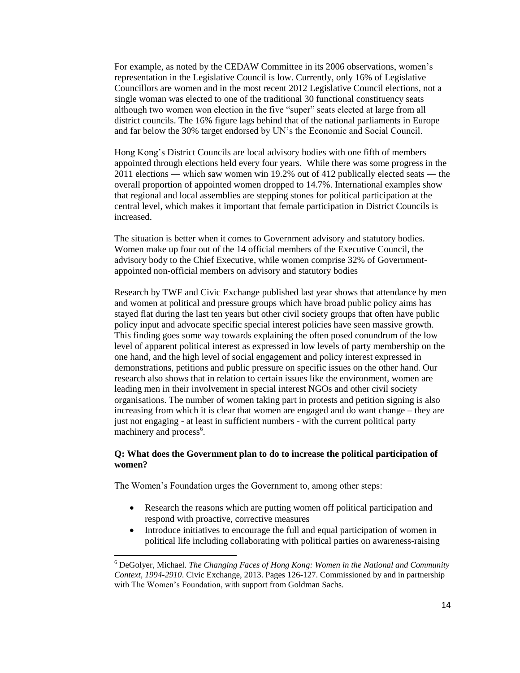For example, as noted by the CEDAW Committee in its 2006 observations, women's representation in the Legislative Council is low. Currently, only 16% of Legislative Councillors are women and in the most recent 2012 Legislative Council elections, not a single woman was elected to one of the traditional 30 functional constituency seats although two women won election in the five "super" seats elected at large from all district councils. The 16% figure lags behind that of the national parliaments in Europe and far below the 30% target endorsed by UN's the Economic and Social Council.

Hong Kong's District Councils are local advisory bodies with one fifth of members appointed through elections held every four years. While there was some progress in the 2011 elections ― which saw women win 19.2% out of 412 publically elected seats ― the overall proportion of appointed women dropped to 14.7%. International examples show that regional and local assemblies are stepping stones for political participation at the central level, which makes it important that female participation in District Councils is increased.

The situation is better when it comes to Government advisory and statutory bodies. Women make up four out of the 14 official members of the Executive Council, the advisory body to the Chief Executive, while women comprise 32% of Governmentappointed non-official members on advisory and statutory bodies

Research by TWF and Civic Exchange published last year shows that attendance by men and women at political and pressure groups which have broad public policy aims has stayed flat during the last ten years but other civil society groups that often have public policy input and advocate specific special interest policies have seen massive growth. This finding goes some way towards explaining the often posed conundrum of the low level of apparent political interest as expressed in low levels of party membership on the one hand, and the high level of social engagement and policy interest expressed in demonstrations, petitions and public pressure on specific issues on the other hand. Our research also shows that in relation to certain issues like the environment, women are leading men in their involvement in special interest NGOs and other civil society organisations. The number of women taking part in protests and petition signing is also increasing from which it is clear that women are engaged and do want change – they are just not engaging - at least in sufficient numbers - with the current political party machinery and process<sup>6</sup>.

### **Q: What does the Government plan to do to increase the political participation of women?**

The Women's Foundation urges the Government to, among other steps:

 $\overline{a}$ 

- Research the reasons which are putting women off political participation and respond with proactive, corrective measures
- Introduce initiatives to encourage the full and equal participation of women in political life including collaborating with political parties on awareness-raising

<sup>6</sup> DeGolyer, Michael. *The Changing Faces of Hong Kong: Women in the National and Community Context, 1994-2910*. Civic Exchange, 2013. Pages 126-127. Commissioned by and in partnership with The Women's Foundation, with support from Goldman Sachs.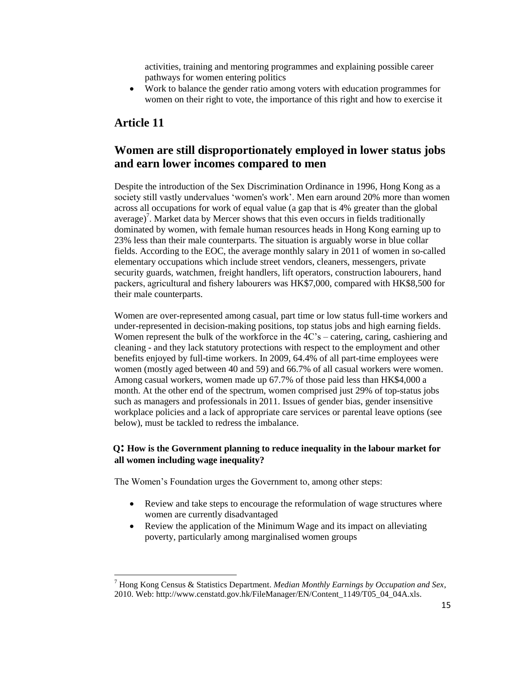activities, training and mentoring programmes and explaining possible career pathways for women entering politics

 Work to balance the gender ratio among voters with education programmes for women on their right to vote, the importance of this right and how to exercise it

### **Article 11**

 $\overline{a}$ 

### **Women are still disproportionately employed in lower status jobs and earn lower incomes compared to men**

Despite the introduction of the Sex Discrimination Ordinance in 1996, Hong Kong as a society still vastly undervalues 'women's work'. Men earn around 20% more than women across all occupations for work of equal value (a gap that is 4% greater than the global average)<sup>7</sup>. Market data by Mercer shows that this even occurs in fields traditionally dominated by women, with female human resources heads in Hong Kong earning up to 23% less than their male counterparts. The situation is arguably worse in blue collar fields. According to the EOC, the average monthly salary in 2011 of women in so-called elementary occupations which include street vendors, cleaners, messengers, private security guards, watchmen, freight handlers, lift operators, construction labourers, hand packers, agricultural and fishery labourers was HK\$7,000, compared with HK\$8,500 for their male counterparts.

Women are over-represented among casual, part time or low status full-time workers and under-represented in decision-making positions, top status jobs and high earning fields. Women represent the bulk of the workforce in the 4C's – catering, caring, cashiering and cleaning - and they lack statutory protections with respect to the employment and other benefits enjoyed by full-time workers. In 2009, 64.4% of all part-time employees were women (mostly aged between 40 and 59) and 66.7% of all casual workers were women. Among casual workers, women made up 67.7% of those paid less than HK\$4,000 a month. At the other end of the spectrum, women comprised just 29% of top-status jobs such as managers and professionals in 2011. Issues of gender bias, gender insensitive workplace policies and a lack of appropriate care services or parental leave options (see below), must be tackled to redress the imbalance.

### **<sup>Q</sup>: How is the Government planning to reduce inequality in the labour market for all women including wage inequality?**

- Review and take steps to encourage the reformulation of wage structures where women are currently disadvantaged
- Review the application of the Minimum Wage and its impact on alleviating poverty, particularly among marginalised women groups

<sup>7</sup> Hong Kong Census & Statistics Department. *Median Monthly Earnings by Occupation and Sex*, 2010. Web: http://www.censtatd.gov.hk/FileManager/EN/Content\_1149/T05\_04\_04A.xls.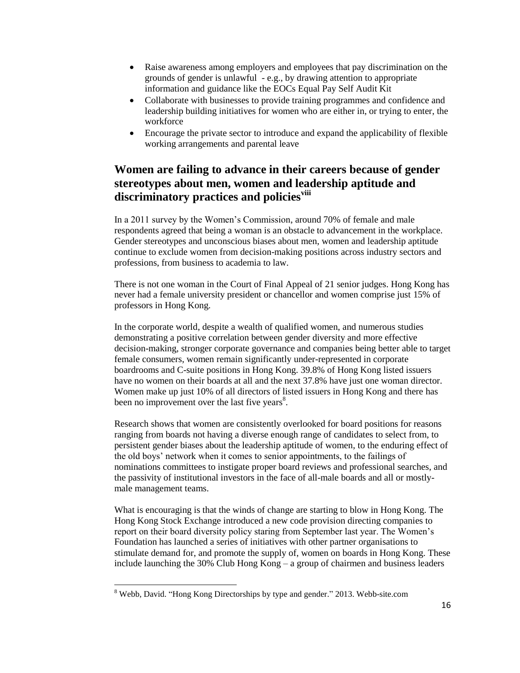- Raise awareness among employers and employees that pay discrimination on the grounds of gender is unlawful - e.g., by drawing attention to appropriate information and guidance like the EOCs Equal Pay Self Audit Kit
- Collaborate with businesses to provide training programmes and confidence and leadership building initiatives for women who are either in, or trying to enter, the workforce
- Encourage the private sector to introduce and expand the applicability of flexible working arrangements and parental leave

# **Women are failing to advance in their careers because of gender stereotypes about men, women and leadership aptitude and discriminatory practices and policiesviii**

In a 2011 survey by the Women's Commission, around 70% of female and male respondents agreed that being a woman is an obstacle to advancement in the workplace. Gender stereotypes and unconscious biases about men, women and leadership aptitude continue to exclude women from decision-making positions across industry sectors and professions, from business to academia to law.

There is not one woman in the Court of Final Appeal of 21 senior judges. Hong Kong has never had a female university president or chancellor and women comprise just 15% of professors in Hong Kong.

In the corporate world, despite a wealth of qualified women, and numerous studies demonstrating a positive correlation between gender diversity and more effective decision-making, stronger corporate governance and companies being better able to target female consumers, women remain significantly under-represented in corporate boardrooms and C-suite positions in Hong Kong. 39.8% of Hong Kong listed issuers have no women on their boards at all and the next 37.8% have just one woman director. Women make up just 10% of all directors of listed issuers in Hong Kong and there has been no improvement over the last five years $8$ .

Research shows that women are consistently overlooked for board positions for reasons ranging from boards not having a diverse enough range of candidates to select from, to persistent gender biases about the leadership aptitude of women, to the enduring effect of the old boys' network when it comes to senior appointments, to the failings of nominations committees to instigate proper board reviews and professional searches, and the passivity of institutional investors in the face of all-male boards and all or mostlymale management teams.

What is encouraging is that the winds of change are starting to blow in Hong Kong. The Hong Kong Stock Exchange introduced a new code provision directing companies to report on their board diversity policy staring from September last year. The Women's Foundation has launched a series of initiatives with other partner organisations to stimulate demand for, and promote the supply of, women on boards in Hong Kong. These include launching the 30% Club Hong Kong – a group of chairmen and business leaders

 $\overline{\phantom{a}}$ 

<sup>8</sup> Webb, David. "Hong Kong Directorships by type and gender." 2013. Webb-site.com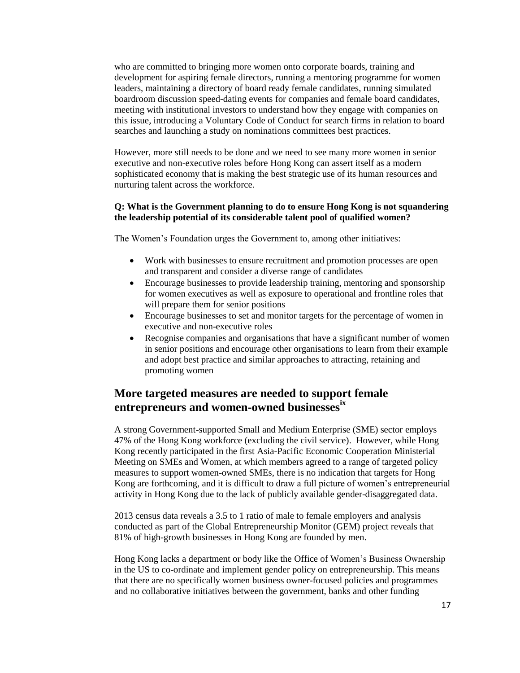who are committed to bringing more women onto corporate boards, training and development for aspiring female directors, running a mentoring programme for women leaders, maintaining a directory of board ready female candidates, running simulated boardroom discussion speed-dating events for companies and female board candidates, meeting with institutional investors to understand how they engage with companies on this issue, introducing a Voluntary Code of Conduct for search firms in relation to board searches and launching a study on nominations committees best practices.

However, more still needs to be done and we need to see many more women in senior executive and non-executive roles before Hong Kong can assert itself as a modern sophisticated economy that is making the best strategic use of its human resources and nurturing talent across the workforce.

#### **Q: What is the Government planning to do to ensure Hong Kong is not squandering the leadership potential of its considerable talent pool of qualified women?**

The Women's Foundation urges the Government to, among other initiatives:

- Work with businesses to ensure recruitment and promotion processes are open and transparent and consider a diverse range of candidates
- Encourage businesses to provide leadership training, mentoring and sponsorship for women executives as well as exposure to operational and frontline roles that will prepare them for senior positions
- Encourage businesses to set and monitor targets for the percentage of women in executive and non-executive roles
- Recognise companies and organisations that have a significant number of women in senior positions and encourage other organisations to learn from their example and adopt best practice and similar approaches to attracting, retaining and promoting women

### **More targeted measures are needed to support female entrepreneurs and women-owned businessesix**

A strong Government-supported Small and Medium Enterprise (SME) sector employs 47% of the Hong Kong workforce (excluding the civil service). However, while Hong Kong recently participated in the first Asia-Pacific Economic Cooperation Ministerial Meeting on SMEs and Women, at which members agreed to a range of targeted policy measures to support women-owned SMEs, there is no indication that targets for Hong Kong are forthcoming, and it is difficult to draw a full picture of women's entrepreneurial activity in Hong Kong due to the lack of publicly available gender-disaggregated data.

2013 census data reveals a 3.5 to 1 ratio of male to female employers and analysis conducted as part of the Global Entrepreneurship Monitor (GEM) project reveals that 81% of high-growth businesses in Hong Kong are founded by men.

Hong Kong lacks a department or body like the Office of Women's Business Ownership in the US to co-ordinate and implement gender policy on entrepreneurship. This means that there are no specifically women business owner-focused policies and programmes and no collaborative initiatives between the government, banks and other funding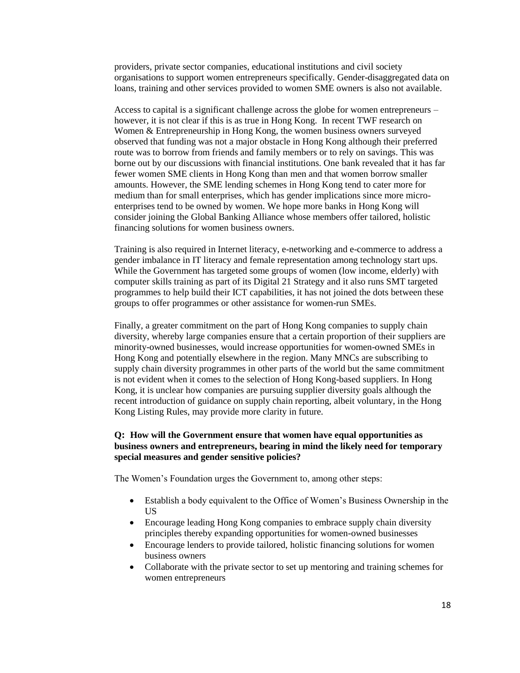providers, private sector companies, educational institutions and civil society organisations to support women entrepreneurs specifically. Gender-disaggregated data on loans, training and other services provided to women SME owners is also not available.

Access to capital is a significant challenge across the globe for women entrepreneurs – however, it is not clear if this is as true in Hong Kong. In recent TWF research on Women & Entrepreneurship in Hong Kong, the women business owners surveyed observed that funding was not a major obstacle in Hong Kong although their preferred route was to borrow from friends and family members or to rely on savings. This was borne out by our discussions with financial institutions. One bank revealed that it has far fewer women SME clients in Hong Kong than men and that women borrow smaller amounts. However, the SME lending schemes in Hong Kong tend to cater more for medium than for small enterprises, which has gender implications since more microenterprises tend to be owned by women. We hope more banks in Hong Kong will consider joining the Global Banking Alliance whose members offer tailored, holistic financing solutions for women business owners.

Training is also required in Internet literacy, e-networking and e-commerce to address a gender imbalance in IT literacy and female representation among technology start ups. While the Government has targeted some groups of women (low income, elderly) with computer skills training as part of its Digital 21 Strategy and it also runs SMT targeted programmes to help build their ICT capabilities, it has not joined the dots between these groups to offer programmes or other assistance for women-run SMEs.

Finally, a greater commitment on the part of Hong Kong companies to supply chain diversity, whereby large companies ensure that a certain proportion of their suppliers are minority-owned businesses, would increase opportunities for women-owned SMEs in Hong Kong and potentially elsewhere in the region. Many MNCs are subscribing to supply chain diversity programmes in other parts of the world but the same commitment is not evident when it comes to the selection of Hong Kong-based suppliers. In Hong Kong, it is unclear how companies are pursuing supplier diversity goals although the recent introduction of guidance on supply chain reporting, albeit voluntary, in the Hong Kong Listing Rules, may provide more clarity in future.

#### **Q: How will the Government ensure that women have equal opportunities as business owners and entrepreneurs, bearing in mind the likely need for temporary special measures and gender sensitive policies?**

- Establish a body equivalent to the Office of Women's Business Ownership in the US
- Encourage leading Hong Kong companies to embrace supply chain diversity principles thereby expanding opportunities for women-owned businesses
- Encourage lenders to provide tailored, holistic financing solutions for women business owners
- Collaborate with the private sector to set up mentoring and training schemes for women entrepreneurs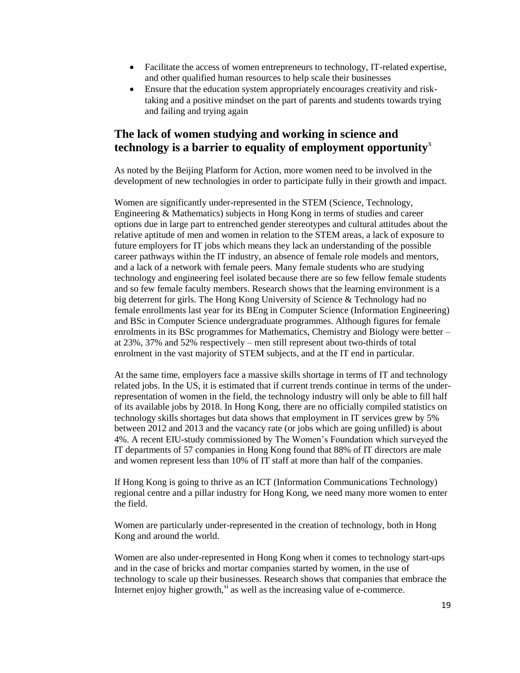- Facilitate the access of women entrepreneurs to technology, IT-related expertise, and other qualified human resources to help scale their businesses
- Ensure that the education system appropriately encourages creativity and risktaking and a positive mindset on the part of parents and students towards trying and failing and trying again

### **The lack of women studying and working in science and technology is a barrier to equality of employment opportunity**<sup>x</sup>

As noted by the Beijing Platform for Action, more women need to be involved in the development of new technologies in order to participate fully in their growth and impact.

Women are significantly under-represented in the STEM (Science, Technology, Engineering & Mathematics) subjects in Hong Kong in terms of studies and career options due in large part to entrenched gender stereotypes and cultural attitudes about the relative aptitude of men and women in relation to the STEM areas, a lack of exposure to future employers for IT jobs which means they lack an understanding of the possible career pathways within the IT industry, an absence of female role models and mentors, and a lack of a network with female peers. Many female students who are studying technology and engineering feel isolated because there are so few fellow female students and so few female faculty members. Research shows that the learning environment is a big deterrent for girls. The Hong Kong University of Science & Technology had no female enrollments last year for its BEng in Computer Science (Information Engineering) and BSc in Computer Science undergraduate programmes. Although figures for female enrolments in its BSc programmes for Mathematics, Chemistry and Biology were better – at 23%, 37% and 52% respectively – men still represent about two-thirds of total enrolment in the vast majority of STEM subjects, and at the IT end in particular.

At the same time, employers face a massive skills shortage in terms of IT and technology related jobs. In the US, it is estimated that if current trends continue in terms of the underrepresentation of women in the field, the technology industry will only be able to fill half of its available jobs by 2018. In Hong Kong, there are no officially compiled statistics on technology skills shortages but data shows that employment in IT services grew by 5% between 2012 and 2013 and the vacancy rate (or jobs which are going unfilled) is about 4%. A recent EIU-study commissioned by The Women's Foundation which surveyed the IT departments of 57 companies in Hong Kong found that 88% of IT directors are male and women represent less than 10% of IT staff at more than half of the companies.

If Hong Kong is going to thrive as an ICT (Information Communications Technology) regional centre and a pillar industry for Hong Kong, we need many more women to enter the field.

Women are particularly under-represented in the creation of technology, both in Hong Kong and around the world.

Women are also under-represented in Hong Kong when it comes to technology start-ups and in the case of bricks and mortar companies started by women, in the use of technology to scale up their businesses. Research shows that companies that embrace the Internet enjoy higher growth, $x_i$  as well as the increasing value of e-commerce.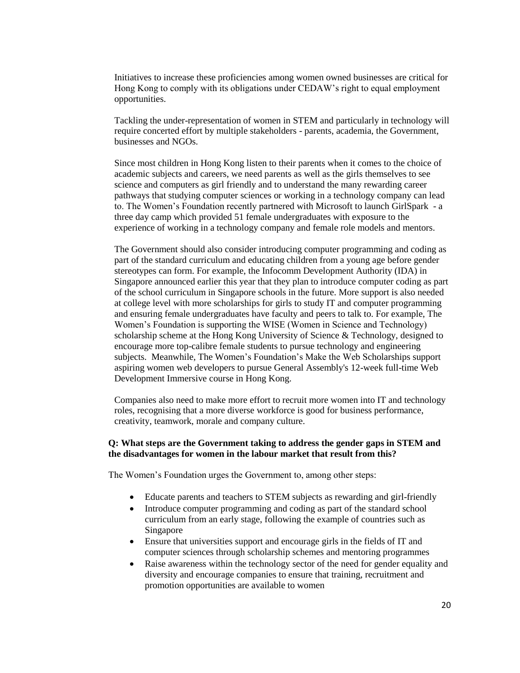Initiatives to increase these proficiencies among women owned businesses are critical for Hong Kong to comply with its obligations under CEDAW's right to equal employment opportunities.

Tackling the under-representation of women in STEM and particularly in technology will require concerted effort by multiple stakeholders - parents, academia, the Government, businesses and NGOs.

Since most children in Hong Kong listen to their parents when it comes to the choice of academic subjects and careers, we need parents as well as the girls themselves to see science and computers as girl friendly and to understand the many rewarding career pathways that studying computer sciences or working in a technology company can lead to. The Women's Foundation recently partnered with Microsoft to launch GirlSpark - a three day camp which provided 51 female undergraduates with exposure to the experience of working in a technology company and female role models and mentors.

The Government should also consider introducing computer programming and coding as part of the standard curriculum and educating children from a young age before gender stereotypes can form. For example, the Infocomm Development Authority (IDA) in Singapore announced earlier this year that they plan to introduce computer coding as part of the school curriculum in Singapore schools in the future. More support is also needed at college level with more scholarships for girls to study IT and computer programming and ensuring female undergraduates have faculty and peers to talk to. For example, The Women's Foundation is supporting the WISE (Women in Science and Technology) scholarship scheme at the Hong Kong University of Science & Technology, designed to encourage more top-calibre female students to pursue technology and engineering subjects. Meanwhile, The Women's Foundation's Make the Web Scholarships support aspiring women web developers to pursue General Assembly's 12-week full-time Web Development Immersive course in Hong Kong.

Companies also need to make more effort to recruit more women into IT and technology roles, recognising that a more diverse workforce is good for business performance, creativity, teamwork, morale and company culture.

#### **Q: What steps are the Government taking to address the gender gaps in STEM and the disadvantages for women in the labour market that result from this?**

- Educate parents and teachers to STEM subjects as rewarding and girl-friendly
- Introduce computer programming and coding as part of the standard school curriculum from an early stage, following the example of countries such as Singapore
- Ensure that universities support and encourage girls in the fields of IT and computer sciences through scholarship schemes and mentoring programmes
- Raise awareness within the technology sector of the need for gender equality and diversity and encourage companies to ensure that training, recruitment and promotion opportunities are available to women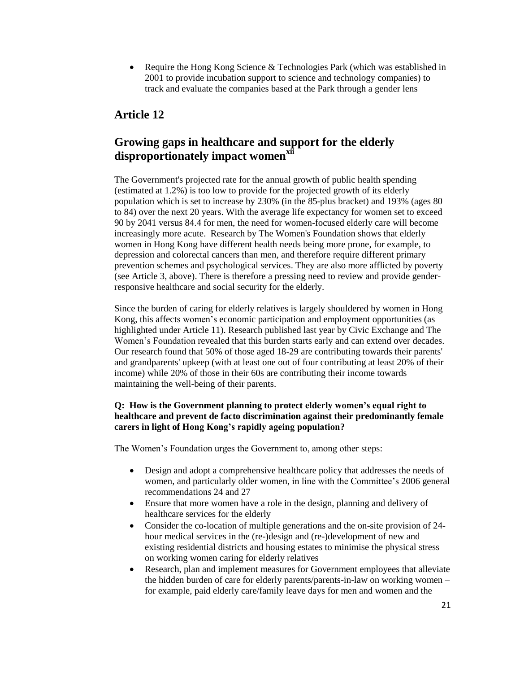• Require the Hong Kong Science & Technologies Park (which was established in 2001 to provide incubation support to science and technology companies) to track and evaluate the companies based at the Park through a gender lens

# **Article 12**

# **Growing gaps in healthcare and support for the elderly disproportionately impact womenxii**

The Government's projected rate for the annual growth of public health spending (estimated at 1.2%) is too low to provide for the projected growth of its elderly population which is set to increase by 230% (in the 85-plus bracket) and 193% (ages 80 to 84) over the next 20 years. With the average life expectancy for women set to exceed 90 by 2041 versus 84.4 for men, the need for women-focused elderly care will become increasingly more acute. Research by The Women's Foundation shows that elderly women in Hong Kong have different health needs being more prone, for example, to depression and colorectal cancers than men, and therefore require different primary prevention schemes and psychological services. They are also more afflicted by poverty (see Article 3, above). There is therefore a pressing need to review and provide genderresponsive healthcare and social security for the elderly.

Since the burden of caring for elderly relatives is largely shouldered by women in Hong Kong, this affects women's economic participation and employment opportunities (as highlighted under Article 11). Research published last year by Civic Exchange and The Women's Foundation revealed that this burden starts early and can extend over decades. Our research found that 50% of those aged 18-29 are contributing towards their parents' and grandparents' upkeep (with at least one out of four contributing at least 20% of their income) while 20% of those in their 60s are contributing their income towards maintaining the well-being of their parents.

### **Q: How is the Government planning to protect elderly women's equal right to healthcare and prevent de facto discrimination against their predominantly female carers in light of Hong Kong's rapidly ageing population?**

- Design and adopt a comprehensive healthcare policy that addresses the needs of women, and particularly older women, in line with the Committee's 2006 general recommendations 24 and 27
- Ensure that more women have a role in the design, planning and delivery of healthcare services for the elderly
- Consider the co-location of multiple generations and the on-site provision of 24hour medical services in the (re-)design and (re-)development of new and existing residential districts and housing estates to minimise the physical stress on working women caring for elderly relatives
- Research, plan and implement measures for Government employees that alleviate the hidden burden of care for elderly parents/parents-in-law on working women – for example, paid elderly care/family leave days for men and women and the